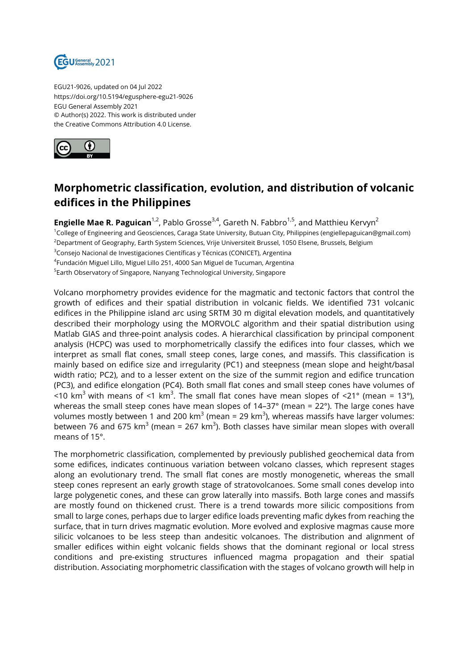

EGU21-9026, updated on 04 Jul 2022 https://doi.org/10.5194/egusphere-egu21-9026 EGU General Assembly 2021 © Author(s) 2022. This work is distributed under the Creative Commons Attribution 4.0 License.



## **Morphometric classification, evolution, and distribution of volcanic edifices in the Philippines**

**Engielle Mae R. Paguican**<sup>1,2</sup>, Pablo Grosse<sup>3,4</sup>, Gareth N. Fabbro<sup>1,5</sup>, and Matthieu Kervyn<sup>2</sup> <sup>1</sup>College of Engineering and Geosciences, Caraga State University, Butuan City, Philippines (engiellepaguican@gmail.com) <sup>2</sup>Department of Geography, Earth System Sciences, Vrije Universiteit Brussel, 1050 Elsene, Brussels, Belgium <sup>3</sup>Consejo Nacional de Investigaciones Científicas y Técnicas (CONICET), Argentina 4 Fundación Miguel Lillo, Miguel Lillo 251, 4000 San Miguel de Tucuman, Argentina <sup>5</sup>Earth Observatory of Singapore, Nanyang Technological University, Singapore

Volcano morphometry provides evidence for the magmatic and tectonic factors that control the growth of edifices and their spatial distribution in volcanic fields. We identified 731 volcanic edifices in the Philippine island arc using SRTM 30 m digital elevation models, and quantitatively described their morphology using the MORVOLC algorithm and their spatial distribution using Matlab GIAS and three-point analysis codes. A hierarchical classification by principal component analysis (HCPC) was used to morphometrically classify the edifices into four classes, which we interpret as small flat cones, small steep cones, large cones, and massifs. This classification is mainly based on edifice size and irregularity (PC1) and steepness (mean slope and height/basal width ratio; PC2), and to a lesser extent on the size of the summit region and edifice truncation (PC3), and edifice elongation (PC4). Both small flat cones and small steep cones have volumes of <10 km $^3$  with means of <1 km $^3$ . The small flat cones have mean slopes of <21° (mean = 13°), whereas the small steep cones have mean slopes of 14–37° (mean = 22°). The large cones have volumes mostly between 1 and 200 km $^3$  (mean = 29 km $^3$ ), whereas massifs have larger volumes: between 76 and 675 km $^3$  (mean = 267 km $^3$ ). Both classes have similar mean slopes with overall means of 15°.

The morphometric classification, complemented by previously published geochemical data from some edifices, indicates continuous variation between volcano classes, which represent stages along an evolutionary trend. The small flat cones are mostly monogenetic, whereas the small steep cones represent an early growth stage of stratovolcanoes. Some small cones develop into large polygenetic cones, and these can grow laterally into massifs. Both large cones and massifs are mostly found on thickened crust. There is a trend towards more silicic compositions from small to large cones, perhaps due to larger edifice loads preventing mafic dykes from reaching the surface, that in turn drives magmatic evolution. More evolved and explosive magmas cause more silicic volcanoes to be less steep than andesitic volcanoes. The distribution and alignment of smaller edifices within eight volcanic fields shows that the dominant regional or local stress conditions and pre-existing structures influenced magma propagation and their spatial distribution. Associating morphometric classification with the stages of volcano growth will help in